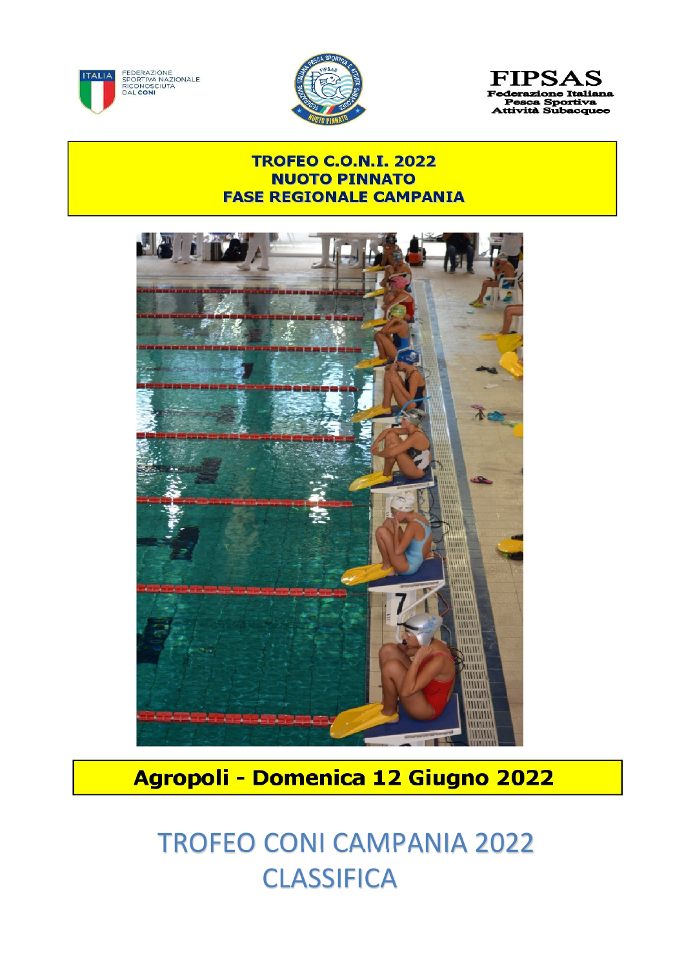



**FIPSAS** razione Italiana Pesca Sportiva<br>Attività Subacquee

## **TROFEO C.O.N.I. 2022 NUOTO PINNATO FASE REGIONALE CAMPANIA**



## Agropoli - Domenica 12 Giugno 2022

## TROFEO CONI CAMPANIA 2022 **CLASSIFICA**